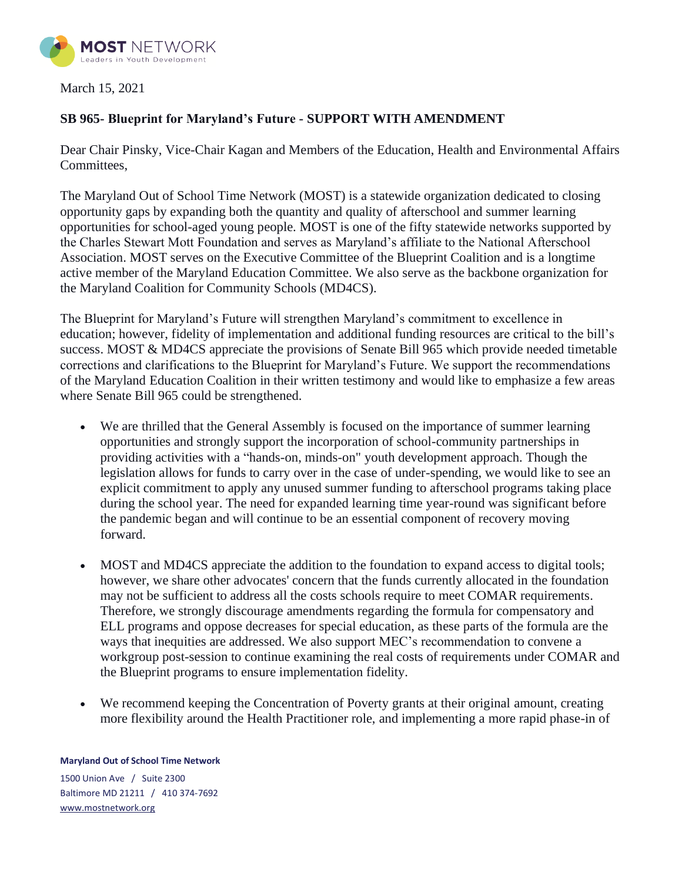

## March 15, 2021

## **SB 965- Blueprint for Maryland's Future - SUPPORT WITH AMENDMENT**

Dear Chair Pinsky, Vice-Chair Kagan and Members of the Education, Health and Environmental Affairs Committees,

The Maryland Out of School Time Network (MOST) is a statewide organization dedicated to closing opportunity gaps by expanding both the quantity and quality of afterschool and summer learning opportunities for school-aged young people. MOST is one of the fifty statewide networks supported by the Charles Stewart Mott Foundation and serves as Maryland's affiliate to the National Afterschool Association. MOST serves on the Executive Committee of the Blueprint Coalition and is a longtime active member of the Maryland Education Committee. We also serve as the backbone organization for the Maryland Coalition for Community Schools (MD4CS).

The Blueprint for Maryland's Future will strengthen Maryland's commitment to excellence in education; however, fidelity of implementation and additional funding resources are critical to the bill's success. MOST & MD4CS appreciate the provisions of Senate Bill 965 which provide needed timetable corrections and clarifications to the Blueprint for Maryland's Future. We support the recommendations of the Maryland Education Coalition in their written testimony and would like to emphasize a few areas where Senate Bill 965 could be strengthened.

- We are thrilled that the General Assembly is focused on the importance of summer learning opportunities and strongly support the incorporation of school-community partnerships in providing activities with a "hands-on, minds-on" youth development approach. Though the legislation allows for funds to carry over in the case of under-spending, we would like to see an explicit commitment to apply any unused summer funding to afterschool programs taking place during the school year. The need for expanded learning time year-round was significant before the pandemic began and will continue to be an essential component of recovery moving forward.
- MOST and MD4CS appreciate the addition to the foundation to expand access to digital tools; however, we share other advocates' concern that the funds currently allocated in the foundation may not be sufficient to address all the costs schools require to meet COMAR requirements. Therefore, we strongly discourage amendments regarding the formula for compensatory and ELL programs and oppose decreases for special education, as these parts of the formula are the ways that inequities are addressed. We also support MEC's recommendation to convene a workgroup post-session to continue examining the real costs of requirements under COMAR and the Blueprint programs to ensure implementation fidelity.
- We recommend keeping the Concentration of Poverty grants at their original amount, creating more flexibility around the Health Practitioner role, and implementing a more rapid phase-in of

## **Maryland Out of School Time Network**

1500 Union Ave / Suite 2300 Baltimore MD 21211 / 410 374-7692 [www.mostnetwork.org](http://www.mostnetwork.org/)